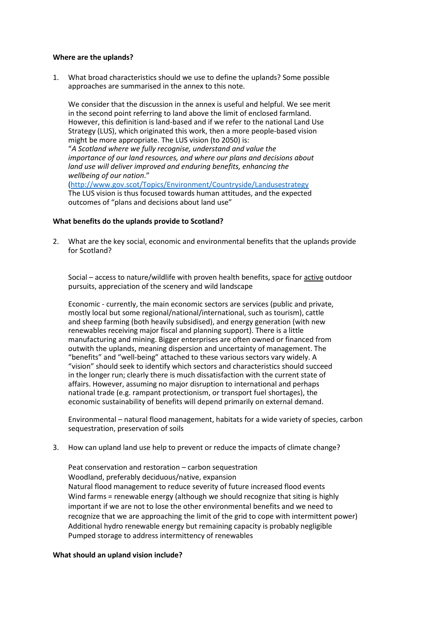## **Where are the uplands?**

1. What broad characteristics should we use to define the uplands? Some possible approaches are summarised in the annex to this note.

We consider that the discussion in the annex is useful and helpful. We see merit in the second point referring to land above the limit of enclosed farmland. However, this definition is land-based and if we refer to the national Land Use Strategy (LUS), which originated this work, then a more people-based vision might be more appropriate. The LUS vision (to 2050) is: "*A Scotland where we fully recognise, understand and value the importance of our land resources, and where our plans and decisions about land use will deliver improved and enduring benefits, enhancing the wellbeing of our nation*." [\(http://www.gov.scot/Topics/Environment/Countryside/Landusestrategy](http://www.gov.scot/Topics/Environment/Countryside/Landusestrategy) The LUS vision is thus focused towards human attitudes, and the expected outcomes of "plans and decisions about land use"

## **What benefits do the uplands provide to Scotland?**

2. What are the key social, economic and environmental benefits that the uplands provide for Scotland?

Social – access to nature/wildlife with proven health benefits, space for active outdoor pursuits, appreciation of the scenery and wild landscape

Economic - currently, the main economic sectors are services (public and private, mostly local but some regional/national/international, such as tourism), cattle and sheep farming (both heavily subsidised), and energy generation (with new renewables receiving major fiscal and planning support). There is a little manufacturing and mining. Bigger enterprises are often owned or financed from outwith the uplands, meaning dispersion and uncertainty of management. The "benefits" and "well-being" attached to these various sectors vary widely. A "vision" should seek to identify which sectors and characteristics should succeed in the longer run; clearly there is much dissatisfaction with the current state of affairs. However, assuming no major disruption to international and perhaps national trade (e.g. rampant protectionism, or transport fuel shortages), the economic sustainability of benefits will depend primarily on external demand.

Environmental – natural flood management, habitats for a wide variety of species, carbon sequestration, preservation of soils

3. How can upland land use help to prevent or reduce the impacts of climate change?

Peat conservation and restoration – carbon sequestration Woodland, preferably deciduous/native, expansion Natural flood management to reduce severity of future increased flood events Wind farms = renewable energy (although we should recognize that siting is highly important if we are not to lose the other environmental benefits and we need to recognize that we are approaching the limit of the grid to cope with intermittent power) Additional hydro renewable energy but remaining capacity is probably negligible Pumped storage to address intermittency of renewables

## **What should an upland vision include?**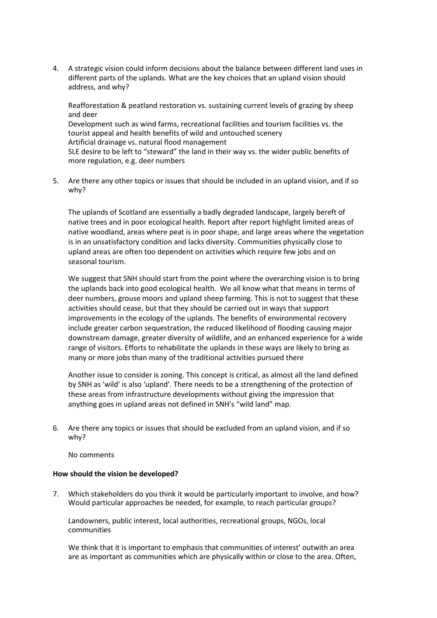4. A strategic vision could inform decisions about the balance between different land uses in different parts of the uplands. What are the key choices that an upland vision should address, and why?

Reafforestation & peatland restoration vs. sustaining current levels of grazing by sheep and deer Development such as wind farms, recreational facilities and tourism facilities vs. the tourist appeal and health benefits of wild and untouched scenery Artificial drainage vs. natural flood management SLE desire to be left to "steward" the land in their way vs. the wider public benefits of more regulation, e.g. deer numbers

5. Are there any other topics or issues that should be included in an upland vision, and if so why?

The uplands of Scotland are essentially a badly degraded landscape, largely bereft of native trees and in poor ecological health. Report after report highlight limited areas of native woodland, areas where peat is in poor shape, and large areas where the vegetation is in an unsatisfactory condition and lacks diversity. Communities physically close to upland areas are often too dependent on activities which require few jobs and on seasonal tourism.

We suggest that SNH should start from the point where the overarching vision is to bring the uplands back into good ecological health. We all know what that means in terms of deer numbers, grouse moors and upland sheep farming. This is not to suggest that these activities should cease, but that they should be carried out in ways that support improvements in the ecology of the uplands. The benefits of environmental recovery include greater carbon sequestration, the reduced likelihood of flooding causing major downstream damage, greater diversity of wildlife, and an enhanced experience for a wide range of visitors. Efforts to rehabilitate the uplands in these ways are likely to bring as many or more jobs than many of the traditional activities pursued there

Another issue to consider is zoning. This concept is critical, as almost all the land defined by SNH as 'wild' is also 'upland'. There needs to be a strengthening of the protection of these areas from infrastructure developments without giving the impression that anything goes in upland areas not defined in SNH's "wild land" map.

6. Are there any topics or issues that should be excluded from an upland vision, and if so why?

No comments

## **How should the vision be developed?**

7. Which stakeholders do you think it would be particularly important to involve, and how? Would particular approaches be needed, for example, to reach particular groups?

Landowners, public interest, local authorities, recreational groups, NGOs, local communities

We think that it is important to emphasis that communities of interest' outwith an area are as important as communities which are physically within or close to the area. Often,